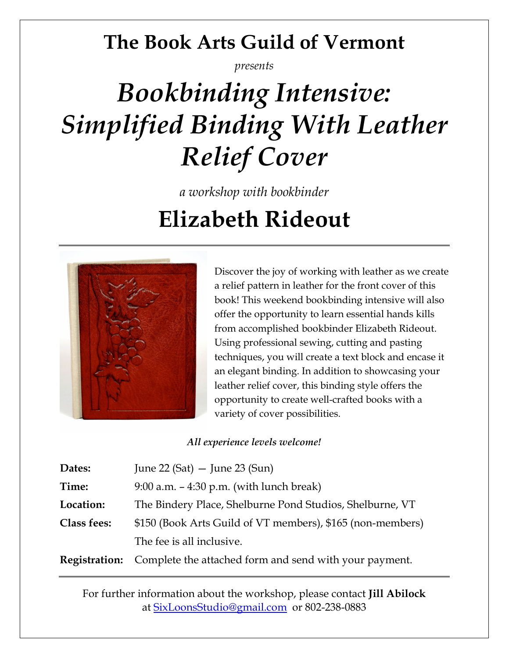## **The Book Arts Guild of Vermont**

*presents*

# *Bookbinding Intensive: Simplified Binding With Leather Relief Cover*

*a workshop with bookbinder* 

**Elizabeth Rideout**



Discover the joy of working with leather as we create a relief pattern in leather for the front cover of this book! This weekend bookbinding intensive will also offer the opportunity to learn essential hands kills from accomplished bookbinder Elizabeth Rideout. Using professional sewing, cutting and pasting techniques, you will create a text block and encase it an elegant binding. In addition to showcasing your leather relief cover, this binding style offers the opportunity to create well-crafted books with a variety of cover possibilities.

*All experience levels welcome!* 

| Dates:               | June 22 (Sat) $-$ June 23 (Sun)                            |  |  |
|----------------------|------------------------------------------------------------|--|--|
| Time:                | $9:00$ a.m. $-4:30$ p.m. (with lunch break)                |  |  |
| Location:            | The Bindery Place, Shelburne Pond Studios, Shelburne, VT   |  |  |
| <b>Class fees:</b>   | \$150 (Book Arts Guild of VT members), \$165 (non-members) |  |  |
|                      | The fee is all inclusive.                                  |  |  |
| <b>Registration:</b> | Complete the attached form and send with your payment.     |  |  |

For further information about the workshop, please contact **Jill Abilock**  at SixLoonsStudio@gmail.com or 802-238-0883